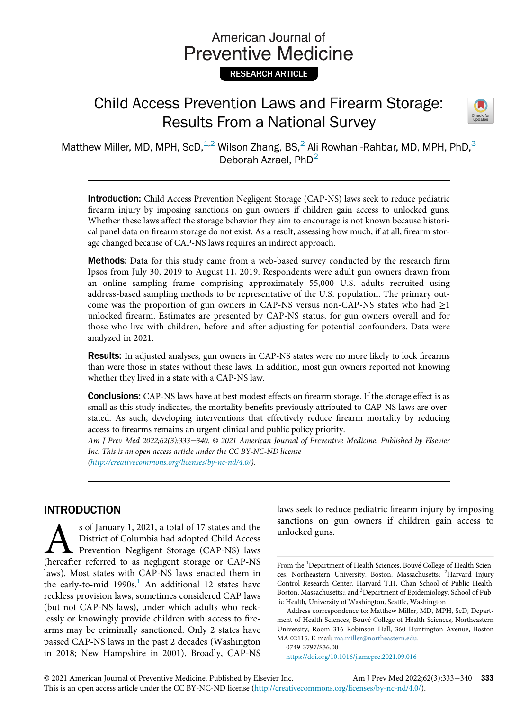# American Journal of **Preventive Medicine**

# RESEARCH ARTICLE

# Child Access Prevention Laws and Firearm Storage: Results From a National Survey



Matthew Miller, MD, MPH, ScD,  $1.2$  Wilson Zhang, BS,  $2$  Ali Rowhani-Rahbar, MD, MPH, PhD,  $3$ Deborah Azrael, PhD<sup>2</sup>

Introduction: Child Access Prevention Negligent Storage (CAP-NS) laws seek to reduce pediatric firearm injury by imposing sanctions on gun owners if children gain access to unlocked guns. Whether these laws affect the storage behavior they aim to encourage is not known because historical panel data on firearm storage do not exist. As a result, assessing how much, if at all, firearm storage changed because of CAP-NS laws requires an indirect approach.

**Methods:** Data for this study came from a web-based survey conducted by the research firm Ipsos from July 30, 2019 to August 11, 2019. Respondents were adult gun owners drawn from an online sampling frame comprising approximately 55,000 U.S. adults recruited using address-based sampling methods to be representative of the U.S. population. The primary outcome was the proportion of gun owners in CAP-NS versus non-CAP-NS states who had  $\geq 1$ unlocked firearm. Estimates are presented by CAP-NS status, for gun owners overall and for those who live with children, before and after adjusting for potential confounders. Data were analyzed in 2021.

Results: In adjusted analyses, gun owners in CAP-NS states were no more likely to lock firearms than were those in states without these laws. In addition, most gun owners reported not knowing whether they lived in a state with a CAP-NS law.

Conclusions: CAP-NS laws have at best modest effects on firearm storage. If the storage effect is as small as this study indicates, the mortality benefits previously attributed to CAP-NS laws are overstated. As such, developing interventions that effectively reduce firearm mortality by reducing access to firearms remains an urgent clinical and public policy priority.

Am J Prev Med 2022;62(3):333−340. © 2021 American Journal of Preventive Medicine. Published by Elsevier Inc. This is an open access article under the CC BY-NC-ND license

([http://creativecommons.org/licenses/by-nc-nd/4.0/\)](http://creativecommons.org/licenses/by-nc-nd/4.0/).

# INTRODUCTION

s of January 1, 2021, a total of 17 states and the<br>District of Columbia had adopted Child Access<br>Prevention Negligent Storage (CAP-NS) laws<br>(hereafter referred to as negligent storage or CAP-NS District of Columbia had adopted Child Access Prevention Negligent Storage (CAP-NS) laws (hereafter referred to as negligent storage or CAP-NS laws). Most states with CAP-NS laws enacted them in the early-to-mid  $1990s<sup>1</sup>$  $1990s<sup>1</sup>$ . An additional 12 states have reckless provision laws, sometimes considered CAP laws (but not CAP-NS laws), under which adults who recklessly or knowingly provide children with access to firearms may be criminally sanctioned. Only 2 states have passed CAP-NS laws in the past 2 decades (Washington in 2018; New Hampshire in 2001). Broadly, CAP-NS laws seek to reduce pediatric firearm injury by imposing sanctions on gun owners if children gain access to unlocked guns.

0749-3797/\$36.00

<https://doi.org/10.1016/j.amepre.2021.09.016>

From the <sup>1</sup>Department of Health Sciences, Bouvé College of Health Sciences, Northeastern University, Boston, Massachusetts; <sup>2</sup>Harvard Injury Control Research Center, Harvard T.H. Chan School of Public Health, Boston, Massachusetts;; and <sup>3</sup>Department of Epidemiology, School of Public Health, University of Washington, Seattle, Washington

Address correspondence to: Matthew Miller, MD, MPH, ScD, Department of Health Sciences, Bouve College of Health Sciences, Northeastern University, Room 316 Robinson Hall, 360 Huntington Avenue, Boston MA 02115. E-mail: [ma.miller@northeastern.edu](mailto:ma.miller@northeastern.edu).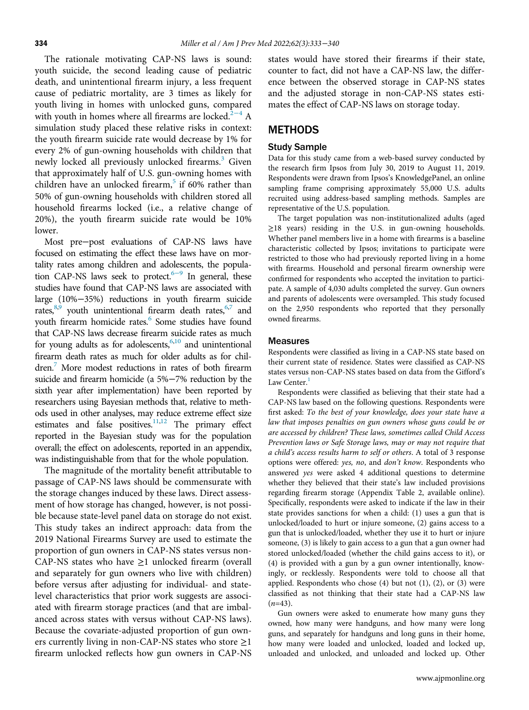The rationale motivating CAP-NS laws is sound: youth suicide, the second leading cause of pediatric death, and unintentional firearm injury, a less frequent cause of pediatric mortality, are 3 times as likely for youth living in homes with unlocked guns, compared with youth in homes where all firearms are locked.<sup>2[−](#page-6-1)4</sup> A simulation study placed these relative risks in context: the youth firearm suicide rate would decrease by 1% for every 2% of gun-owning households with children that newly locked all previously unlocked firearms.<sup>[3](#page-6-2)</sup> Given that approximately half of U.S. gun-owning homes with children have an unlocked firearm, $5$  if 60% rather than 50% of gun-owning households with children stored all household firearms locked (i.e., a relative change of 20%), the youth firearm suicide rate would be 10% lower.

Most pre−post evaluations of CAP-NS laws have focused on estimating the effect these laws have on mortality rates among children and adolescents, the popula-tion CAP-NS laws seek to protect.<sup>6[−](#page-6-4)9</sup> In general, these studies have found that CAP-NS laws are associated with large (10%−35%) reductions in youth firearm suicide rates, $8,9$  $8,9$  $8,9$  youth unintentional firearm death rates,  $6,7$  $6,7$  $6,7$  and youth firearm homicide rates.<sup>6</sup> Some studies have found that CAP-NS laws decrease firearm suicide rates as much for young adults as for adolescents, 6[,10](#page-7-2) and unintentional firearm death rates as much for older adults as for chil-dren.<sup>[7](#page-6-5)</sup> More modest reductions in rates of both firearm suicide and firearm homicide (a 5%−7% reduction by the sixth year after implementation) have been reported by researchers using Bayesian methods that, relative to methods used in other analyses, may reduce extreme effect size estimates and false positives.<sup>11[,12](#page-7-4)</sup> The primary effect reported in the Bayesian study was for the population overall; the effect on adolescents, reported in an appendix, was indistinguishable from that for the whole population.

The magnitude of the mortality benefit attributable to passage of CAP-NS laws should be commensurate with the storage changes induced by these laws. Direct assessment of how storage has changed, however, is not possible because state-level panel data on storage do not exist. This study takes an indirect approach: data from the 2019 National Firearms Survey are used to estimate the proportion of gun owners in CAP-NS states versus non-CAP-NS states who have ≥1 unlocked firearm (overall and separately for gun owners who live with children) before versus after adjusting for individual- and statelevel characteristics that prior work suggests are associated with firearm storage practices (and that are imbalanced across states with versus without CAP-NS laws). Because the covariate-adjusted proportion of gun owners currently living in non-CAP-NS states who store  $\geq$ 1 firearm unlocked reflects how gun owners in CAP-NS

states would have stored their firearms if their state, counter to fact, did not have a CAP-NS law, the difference between the observed storage in CAP-NS states and the adjusted storage in non-CAP-NS states estimates the effect of CAP-NS laws on storage today.

## **METHODS**

### Study Sample

Data for this study came from a web-based survey conducted by the research firm Ipsos from July 30, 2019 to August 11, 2019. Respondents were drawn from Ipsos's KnowledgePanel, an online sampling frame comprising approximately 55,000 U.S. adults recruited using address-based sampling methods. Samples are representative of the U.S. population.

The target population was non-institutionalized adults (aged ≥18 years) residing in the U.S. in gun-owning households. Whether panel members live in a home with firearms is a baseline characteristic collected by Ipsos; invitations to participate were restricted to those who had previously reported living in a home with firearms. Household and personal firearm ownership were confirmed for respondents who accepted the invitation to participate. A sample of 4,030 adults completed the survey. Gun owners and parents of adolescents were oversampled. This study focused on the 2,950 respondents who reported that they personally owned firearms.

### **Measures**

Respondents were classified as living in a CAP-NS state based on their current state of residence. States were classified as CAP-NS states versus non-CAP-NS states based on data from the Gifford's Law Center.<sup>[1](#page-6-0)</sup>

Respondents were classified as believing that their state had a CAP-NS law based on the following questions. Respondents were first asked: To the best of your knowledge, does your state have a law that imposes penalties on gun owners whose guns could be or are accessed by children? These laws, sometimes called Child Access Prevention laws or Safe Storage laws, may or may not require that a child's access results harm to self or others. A total of 3 response options were offered: yes, no, and don't know. Respondents who answered yes were asked 4 additional questions to determine whether they believed that their state's law included provisions regarding firearm storage (Appendix Table 2, available online). Specifically, respondents were asked to indicate if the law in their state provides sanctions for when a child: (1) uses a gun that is unlocked/loaded to hurt or injure someone, (2) gains access to a gun that is unlocked/loaded, whether they use it to hurt or injure someone, (3) is likely to gain access to a gun that a gun owner had stored unlocked/loaded (whether the child gains access to it), or (4) is provided with a gun by a gun owner intentionally, knowingly, or recklessly. Respondents were told to choose all that applied. Respondents who chose  $(4)$  but not  $(1)$ ,  $(2)$ , or  $(3)$  were classified as not thinking that their state had a CAP-NS law  $(n=43)$ .

Gun owners were asked to enumerate how many guns they owned, how many were handguns, and how many were long guns, and separately for handguns and long guns in their home, how many were loaded and unlocked, loaded and locked up, unloaded and unlocked, and unloaded and locked up. Other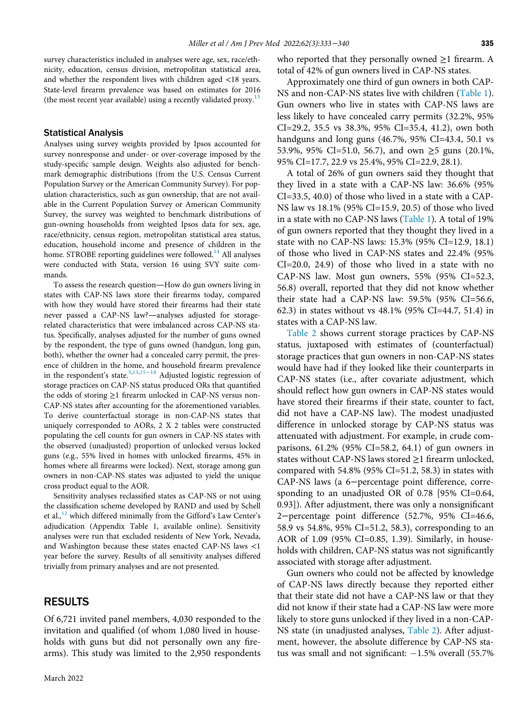survey characteristics included in analyses were age, sex, race/ethnicity, education, census division, metropolitan statistical area, and whether the respondent lives with children aged <18 years. State-level firearm prevalence was based on estimates for 2016 (the most recent year available) using a recently validated proxy.<sup>[13](#page-7-5)</sup>

#### Statistical Analysis

Analyses using survey weights provided by Ipsos accounted for survey nonresponse and under- or over-coverage imposed by the study-specific sample design. Weights also adjusted for benchmark demographic distributions (from the U.S. Census Current Population Survey or the American Community Survey). For population characteristics, such as gun ownership, that are not available in the Current Population Survey or American Community Survey, the survey was weighted to benchmark distributions of gun-owning households from weighted Ipsos data for sex, age, race/ethnicity, census region, metropolitan statistical area status, education, household income and presence of children in the home. STROBE reporting guidelines were followed.<sup>[14](#page-7-6)</sup> All analyses were conducted with Stata, version 16 using SVY suite commands.

To assess the research question—How do gun owners living in states with CAP-NS laws store their firearms today, compared with how they would have stored their firearms had their state never passed a CAP-NS law?—analyses adjusted for storagerelated characteristics that were imbalanced across CAP-NS status. Specifically, analyses adjusted for the number of guns owned by the respondent, the type of guns owned (handgun, long gun, both), whether the owner had a concealed carry permit, the presence of children in the home, and household firearm prevalence in the respondent's state.[5](#page-6-3)[,13](#page-7-5)[,15](#page-7-7)−<sup>18</sup> Adjusted logistic regression of storage practices on CAP-NS status produced ORs that quantified the odds of storing ≥1 firearm unlocked in CAP-NS versus non-CAP-NS states after accounting for the aforementioned variables. To derive counterfactual storage in non-CAP-NS states that uniquely corresponded to AORs, 2 X 2 tables were constructed populating the cell counts for gun owners in CAP-NS states with the observed (unadjusted) proportion of unlocked versus locked guns (e.g., 55% lived in homes with unlocked firearms, 45% in homes where all firearms were locked). Next, storage among gun owners in non-CAP-NS states was adjusted to yield the unique cross product equal to the AOR.

Sensitivity analyses reclassified states as CAP-NS or not using the classification scheme developed by RAND and used by Schell et al.,<sup>[12](#page-7-4)</sup> which differed minimally from the Gifford's Law Center's adjudication (Appendix Table 1, available online). Sensitivity analyses were run that excluded residents of New York, Nevada, and Washington because these states enacted CAP-NS laws <1 year before the survey. Results of all sensitivity analyses differed trivially from primary analyses and are not presented.

### RESULTS

Of 6,721 invited panel members, 4,030 responded to the invitation and qualified (of whom 1,080 lived in households with guns but did not personally own any firearms). This study was limited to the 2,950 respondents who reported that they personally owned  $\geq$ 1 firearm. A total of 42% of gun owners lived in CAP-NS states.

Approximately one third of gun owners in both CAP-NS and non-CAP-NS states live with children ([Table 1](#page-3-0)). Gun owners who live in states with CAP-NS laws are less likely to have concealed carry permits (32.2%, 95% CI=29.2, 35.5 vs 38.3%, 95% CI=35.4, 41.2), own both handguns and long guns (46.7%, 95% CI=43.4, 50.1 vs 53.9%, 95% CI=51.0, 56.7), and own  $\geq$ 5 guns (20.1%, 95% CI=17.7, 22.9 vs 25.4%, 95% CI=22.9, 28.1).

A total of 26% of gun owners said they thought that they lived in a state with a CAP-NS law: 36.6% (95% CI=33.5, 40.0) of those who lived in a state with a CAP-NS law vs 18.1% (95% CI=15.9, 20.5) of those who lived in a state with no CAP-NS laws [\(Table 1\)](#page-3-0). A total of 19% of gun owners reported that they thought they lived in a state with no CAP-NS laws: 15.3% (95% CI=12.9, 18.1) of those who lived in CAP-NS states and 22.4% (95% CI=20.0, 24.9) of those who lived in a state with no CAP-NS law. Most gun owners, 55% (95% CI=52.3, 56.8) overall, reported that they did not know whether their state had a CAP-NS law: 59.5% (95% CI=56.6, 62.3) in states without vs 48.1% (95% CI=44.7, 51.4) in states with a CAP-NS law.

[Table 2](#page-5-0) shows current storage practices by CAP-NS status, juxtaposed with estimates of (counterfactual) storage practices that gun owners in non-CAP-NS states would have had if they looked like their counterparts in CAP-NS states (i.e., after covariate adjustment, which should reflect how gun owners in CAP-NS states would have stored their firearms if their state, counter to fact, did not have a CAP-NS law). The modest unadjusted difference in unlocked storage by CAP-NS status was attenuated with adjustment. For example, in crude comparisons, 61.2% (95% CI=58.2, 64.1) of gun owners in states without CAP-NS laws stored  $\geq$ 1 firearm unlocked, compared with  $54.8\%$  (95% CI=51.2, 58.3) in states with CAP-NS laws (a 6−percentage point difference, corresponding to an unadjusted OR of 0.78 [95% CI=0.64, 0.93]). After adjustment, there was only a nonsignificant 2−percentage point difference (52.7%, 95% CI=46.6, 58.9 vs 54.8%, 95% CI=51.2, 58.3), corresponding to an AOR of 1.09 (95% CI=0.85, 1.39). Similarly, in households with children, CAP-NS status was not significantly associated with storage after adjustment.

Gun owners who could not be affected by knowledge of CAP-NS laws directly because they reported either that their state did not have a CAP-NS law or that they did not know if their state had a CAP-NS law were more likely to store guns unlocked if they lived in a non-CAP-NS state (in unadjusted analyses, [Table 2](#page-5-0)). After adjustment, however, the absolute difference by CAP-NS status was small and not significant:  $-1.5\%$  overall (55.7%)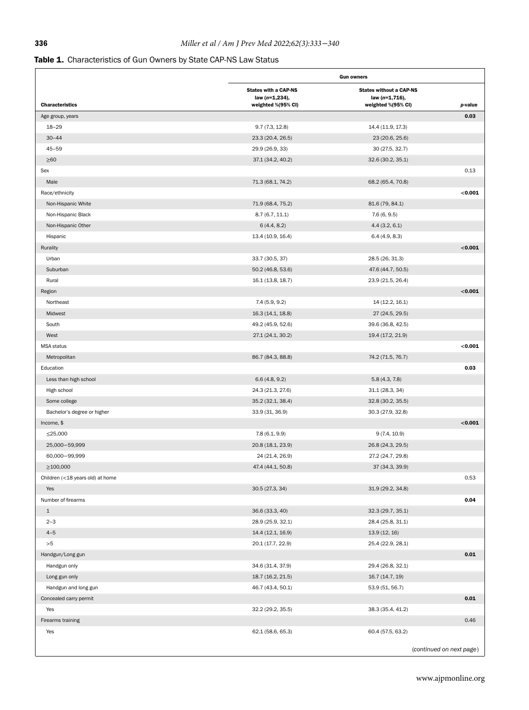# <span id="page-3-0"></span>Table 1. Characteristics of Gun Owners by State CAP-NS Law Status

|                                  | <b>Gun owners</b>                                                   |                                                                        |                          |  |
|----------------------------------|---------------------------------------------------------------------|------------------------------------------------------------------------|--------------------------|--|
| <b>Characteristics</b>           | <b>States with a CAP-NS</b><br>law (n=1,234),<br>weighted %(95% CI) | <b>States without a CAP-NS</b><br>law (n=1,716),<br>weighted %(95% CI) | p-value                  |  |
| Age group, years                 |                                                                     |                                                                        | 0.03                     |  |
| $18 - 29$                        | 9.7(7.3, 12.8)                                                      | 14.4 (11.9, 17.3)                                                      |                          |  |
| $30 - 44$                        | 23.3 (20.4, 26.5)                                                   | 23 (20.6, 25.6)                                                        |                          |  |
| $45 - 59$                        | 29.9 (26.9, 33)                                                     | 30 (27.5, 32.7)                                                        |                          |  |
| $\geq 60$                        | 37.1 (34.2, 40.2)                                                   | 32.6 (30.2, 35.1)                                                      |                          |  |
| Sex                              |                                                                     |                                                                        | 0.13                     |  |
| Male                             | 71.3 (68.1, 74.2)                                                   | 68.2 (65.4, 70.8)                                                      |                          |  |
| Race/ethnicity                   |                                                                     |                                                                        | < 0.001                  |  |
| Non-Hispanic White               | 71.9 (68.4, 75.2)                                                   | 81.6 (79, 84.1)                                                        |                          |  |
| Non-Hispanic Black               | 8.7(6.7, 11.1)                                                      | 7.6(6, 9.5)                                                            |                          |  |
| Non-Hispanic Other               | 6(4.4, 8.2)                                                         | 4.4(3.2, 6.1)                                                          |                          |  |
| Hispanic                         | 13.4 (10.9, 16.4)                                                   | 6.4(4.9, 8.3)                                                          |                          |  |
| Rurality                         |                                                                     |                                                                        | < 0.001                  |  |
| Urban                            | 33.7 (30.5, 37)                                                     | 28.5 (26, 31.3)                                                        |                          |  |
| Suburban                         | 50.2 (46.8, 53.6)                                                   | 47.6 (44.7, 50.5)                                                      |                          |  |
| Rural                            | 16.1 (13.8, 18.7)                                                   | 23.9 (21.5, 26.4)                                                      |                          |  |
| Region                           |                                                                     |                                                                        | < 0.001                  |  |
| Northeast                        | 7.4(5.9, 9.2)                                                       | 14 (12.2, 16.1)                                                        |                          |  |
| Midwest                          | 16.3 (14.1, 18.8)                                                   | 27 (24.5, 29.5)                                                        |                          |  |
| South                            | 49.2 (45.9, 52.6)                                                   | 39.6 (36.8, 42.5)                                                      |                          |  |
| West                             | 27.1 (24.1, 30.2)                                                   | 19.4 (17.2, 21.9)                                                      |                          |  |
| <b>MSA</b> status                |                                                                     |                                                                        | < 0.001                  |  |
| Metropolitan                     | 86.7 (84.3, 88.8)                                                   | 74.2 (71.5, 76.7)                                                      |                          |  |
| Education                        |                                                                     |                                                                        | 0.03                     |  |
| Less than high school            | 6.6(4.8, 9.2)                                                       | 5.8(4.3, 7.8)                                                          |                          |  |
| High school                      | 24.3 (21.3, 27.6)                                                   | 31.1 (28.3, 34)                                                        |                          |  |
| Some college                     | 35.2 (32.1, 38.4)                                                   | 32.8 (30.2, 35.5)                                                      |                          |  |
| Bachelor's degree or higher      | 33.9 (31, 36.9)                                                     | 30.3 (27.9, 32.8)                                                      |                          |  |
| Income, \$                       |                                                                     |                                                                        | < 0.001                  |  |
| ≤25,000                          | 7.8(6.1, 9.9)                                                       | 9(7.4, 10.9)                                                           |                          |  |
| 25,000-59,999                    | 20.8 (18.1, 23.9)                                                   | 26.8 (24.3, 29.5)                                                      |                          |  |
| 60,000-99,999                    | 24 (21.4, 26.9)                                                     | 27.2 (24.7, 29.8)                                                      |                          |  |
| $\geq$ 100,000                   | 47.4 (44.1, 50.8)                                                   | 37 (34.3, 39.9)                                                        |                          |  |
| Children (<18 years old) at home |                                                                     |                                                                        | 0.53                     |  |
| Yes                              | 30.5 (27.3, 34)                                                     | 31.9 (29.2, 34.8)                                                      |                          |  |
| Number of firearms               |                                                                     |                                                                        | 0.04                     |  |
| $\mathbf{1}$                     | 36.6 (33.3, 40)                                                     | 32.3 (29.7, 35.1)                                                      |                          |  |
| $2 - 3$                          | 28.9 (25.9, 32.1)                                                   | 28.4 (25.8, 31.1)                                                      |                          |  |
| $4 - 5$                          | 14.4 (12.1, 16.9)                                                   | 13.9 (12, 16)                                                          |                          |  |
| ${>}5$                           | 20.1 (17.7, 22.9)                                                   | 25.4 (22.9, 28.1)                                                      |                          |  |
| Handgun/Long gun                 |                                                                     |                                                                        | 0.01                     |  |
| Handgun only                     | 34.6 (31.4, 37.9)                                                   | 29.4 (26.8, 32.1)                                                      |                          |  |
| Long gun only                    | 18.7 (16.2, 21.5)                                                   | 16.7 (14.7, 19)                                                        |                          |  |
| Handgun and long gun             | 46.7 (43.4, 50.1)                                                   | 53.9 (51, 56.7)                                                        |                          |  |
| Concealed carry permit           |                                                                     |                                                                        | 0.01                     |  |
| Yes                              | 32.2 (29.2, 35.5)                                                   | 38.3 (35.4, 41.2)                                                      |                          |  |
| Firearms training                |                                                                     |                                                                        | 0.46                     |  |
| Yes                              | 62.1 (58.6, 65.3)                                                   | 60.4 (57.5, 63.2)                                                      |                          |  |
|                                  |                                                                     |                                                                        |                          |  |
|                                  |                                                                     |                                                                        | (continued on next page) |  |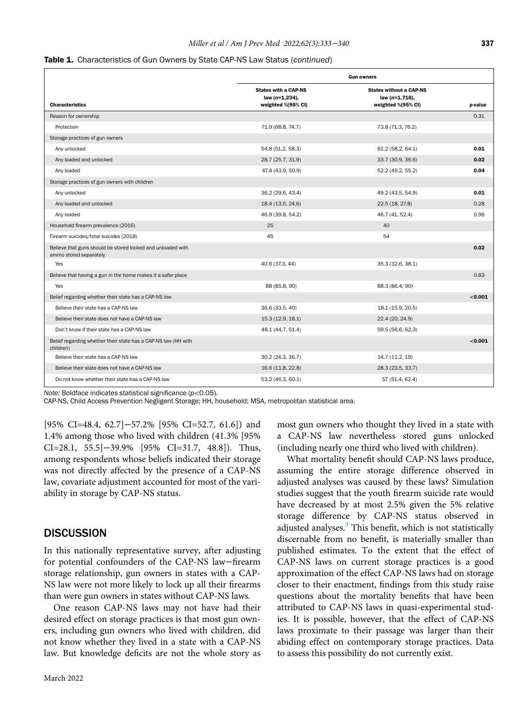#### Table 1. Characteristics of Gun Owners by State CAP-NS Law Status (continued)

|                                                                                       | <b>Gun owners</b>                                                   |                                                                        |         |  |
|---------------------------------------------------------------------------------------|---------------------------------------------------------------------|------------------------------------------------------------------------|---------|--|
| <b>Characteristics</b>                                                                | <b>States with a CAP-NS</b><br>law (n=1,234),<br>weighted %(95% CI) | <b>States without a CAP-NS</b><br>law (n=1,716),<br>weighted %(95% CI) | p-value |  |
| Reason for ownership                                                                  |                                                                     |                                                                        | 0.31    |  |
| Protection                                                                            | 71.9 (68.8, 74.7)                                                   | 73.8 (71.3, 76.2)                                                      |         |  |
| Storage practices of gun owners                                                       |                                                                     |                                                                        |         |  |
| Any unlocked                                                                          | 54.8 (51.2, 58.3)                                                   | 61.2 (58.2, 64.1)                                                      | 0.01    |  |
| Any loaded and unlocked                                                               | 28.7 (25.7, 31.9)                                                   | 33.7 (30.9, 36.6)                                                      | 0.02    |  |
| Any loaded                                                                            | 47.4 (43.9, 50.9)                                                   | 52.2 (49.2, 55.2)                                                      | 0.04    |  |
| Storage practices of gun owners with children                                         |                                                                     |                                                                        |         |  |
| Any unlocked                                                                          | 36.2 (29.6, 43.4)                                                   | 49.2 (43.5, 54.9)                                                      | 0.01    |  |
| Any loaded and unlocked                                                               | 18.4 (13.5, 24.6)                                                   | 22.5 (18, 27.8)                                                        | 0.28    |  |
| Any loaded                                                                            | 46.9 (39.8, 54.2)                                                   | 46.7 (41, 52.4)                                                        | 0.96    |  |
| Household firearm prevalence (2016)                                                   | 25                                                                  | 40                                                                     |         |  |
| Firearm suicides/total suicides (2018)                                                | 45                                                                  | 54                                                                     |         |  |
| Believe that guns should be stored locked and unloaded with<br>ammo stored separately |                                                                     |                                                                        | 0.02    |  |
| Yes                                                                                   | 40.6 (37.3, 44)                                                     | 35.3 (32.6, 38.1)                                                      |         |  |
| Believe that having a gun in the home makes it a safer place                          |                                                                     |                                                                        | 0.83    |  |
| Yes                                                                                   | 88 (85.8, 90)                                                       | 88.3 (86.4, 90)                                                        |         |  |
| Belief regarding whether their state has a CAP-NS law                                 |                                                                     |                                                                        | < 0.001 |  |
| Believe their state has a CAP-NS law                                                  | 36.6 (33.5, 40)                                                     | 18.1 (15.9, 20.5)                                                      |         |  |
| Believe their state does not have a CAP-NS law                                        | 15.3 (12.9, 18.1)                                                   | 22.4 (20, 24.9)                                                        |         |  |
| Don't know if their state has a CAP-NS law                                            | 48.1 (44.7, 51.4)                                                   | 59.5 (56.6, 62.3)                                                      |         |  |
| Belief regarding whether their state has a CAP-NS law (HH with<br>children)           |                                                                     |                                                                        | < 0.001 |  |
| Believe their state has a CAP-NS law                                                  | 30.2 (24.3, 36.7)                                                   | 14.7 (11.2, 19)                                                        |         |  |
| Believe their state does not have a CAP-NS law                                        | 16.6 (11.8, 22.8)                                                   | 28.3 (23.5, 33.7)                                                      |         |  |
| Do not know whether their state has a CAP-NS law                                      | 53.2 (46.3, 60.1)                                                   | 57 (51.4, 62.4)                                                        |         |  |

Note: Boldface indicates statistical significance  $(p<0.05)$ .

CAP-NS, Child Access Prevention Negligent Storage; HH, household; MSA, metropolitan statistical area.

[95% CI=48.4, 62.7]−57.2% [95% CI=52.7, 61.6]) and 1.4% among those who lived with children (41.3% [95% CI=28.1, 55.5]−39.9% [95% CI=31.7, 48.8]). Thus, among respondents whose beliefs indicated their storage was not directly affected by the presence of a CAP-NS law, covariate adjustment accounted for most of the variability in storage by CAP-NS status.

# **DISCUSSION**

In this nationally representative survey, after adjusting for potential confounders of the CAP-NS law−firearm storage relationship, gun owners in states with a CAP-NS law were not more likely to lock up all their firearms than were gun owners in states without CAP-NS laws.

One reason CAP-NS laws may not have had their desired effect on storage practices is that most gun owners, including gun owners who lived with children, did not know whether they lived in a state with a CAP-NS law. But knowledge deficits are not the whole story as most gun owners who thought they lived in a state with a CAP-NS law nevertheless stored guns unlocked (including nearly one third who lived with children).

What mortality benefit should CAP-NS laws produce, assuming the entire storage difference observed in adjusted analyses was caused by these laws? Simulation studies suggest that the youth firearm suicide rate would have decreased by at most 2.5% given the 5% relative storage difference by CAP-NS status observed in adjusted analyses. $3$  This benefit, which is not statistically discernable from no benefit, is materially smaller than published estimates. To the extent that the effect of CAP-NS laws on current storage practices is a good approximation of the effect CAP-NS laws had on storage closer to their enactment, findings from this study raise questions about the mortality benefits that have been attributed to CAP-NS laws in quasi-experimental studies. It is possible, however, that the effect of CAP-NS laws proximate to their passage was larger than their abiding effect on contemporary storage practices. Data to assess this possibility do not currently exist.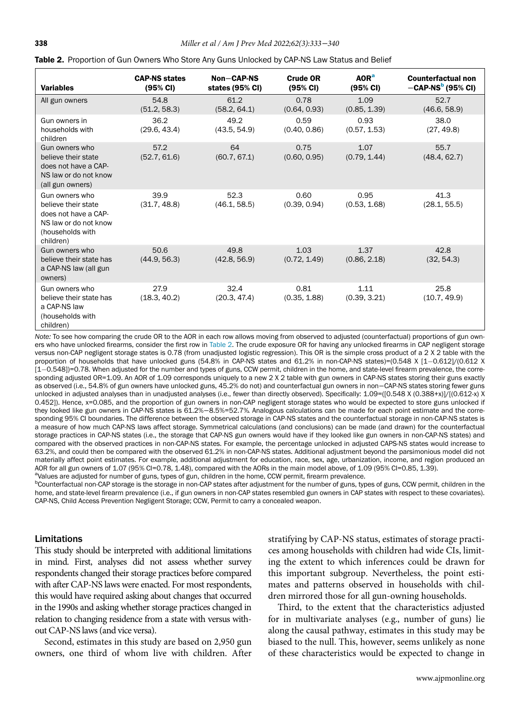| <b>Variables</b>                                                                                                        | <b>CAP-NS states</b><br>(95% CI) | Non-CAP-NS<br>states (95% CI) | <b>Crude OR</b><br>(95% CI) | AOR <sup>a</sup><br>$(95% \text{ Cl})$ | <b>Counterfactual non</b><br>$-CAP-NSb$ (95% CI) |
|-------------------------------------------------------------------------------------------------------------------------|----------------------------------|-------------------------------|-----------------------------|----------------------------------------|--------------------------------------------------|
| All gun owners                                                                                                          | 54.8<br>(51.2, 58.3)             | 61.2<br>(58.2, 64.1)          | 0.78<br>(0.64, 0.93)        | 1.09<br>(0.85, 1.39)                   | 52.7<br>(46.6, 58.9)                             |
| Gun owners in<br>households with<br>children                                                                            | 36.2<br>(29.6, 43.4)             | 49.2<br>(43.5, 54.9)          | 0.59<br>(0.40, 0.86)        | 0.93<br>(0.57, 1.53)                   | 38.0<br>(27, 49.8)                               |
| Gun owners who<br>believe their state<br>does not have a CAP-<br>NS law or do not know<br>(all gun owners)              | 57.2<br>(52.7, 61.6)             | 64<br>(60.7, 67.1)            | 0.75<br>(0.60, 0.95)        | 1.07<br>(0.79, 1.44)                   | 55.7<br>(48.4, 62.7)                             |
| Gun owners who<br>believe their state<br>does not have a CAP-<br>NS law or do not know<br>(households with<br>children) | 39.9<br>(31.7, 48.8)             | 52.3<br>(46.1, 58.5)          | 0.60<br>(0.39, 0.94)        | 0.95<br>(0.53, 1.68)                   | 41.3<br>(28.1, 55.5)                             |
| Gun owners who<br>believe their state has<br>a CAP-NS law (all gun<br>owners)                                           | 50.6<br>(44.9, 56.3)             | 49.8<br>(42.8, 56.9)          | 1.03<br>(0.72, 1.49)        | 1.37<br>(0.86, 2.18)                   | 42.8<br>(32, 54.3)                               |
| Gun owners who<br>believe their state has<br>a CAP-NS law<br>(households with<br>children)                              | 27.9<br>(18.3, 40.2)             | 32.4<br>(20.3, 47.4)          | 0.81<br>(0.35, 1.88)        | 1.11<br>(0.39, 3.21)                   | 25.8<br>(10.7, 49.9)                             |

<span id="page-5-0"></span>

|  |  |  |  |  | Table 2. Proportion of Gun Owners Who Store Any Guns Unlocked by CAP-NS Law Status and Belief |  |
|--|--|--|--|--|-----------------------------------------------------------------------------------------------|--|
|--|--|--|--|--|-----------------------------------------------------------------------------------------------|--|

Note: To see how comparing the crude OR to the AOR in each row allows moving from observed to adjusted (counterfactual) proportions of gun owners who have unlocked firearms, consider the first row in [Table 2.](#page-5-0) The crude exposure OR for having any unlocked firearms in CAP negligent storage versus non-CAP negligent storage states is 0.78 (from unadjusted logistic regression). This OR is the simple cross product of a 2 X 2 table with the proportion of households that have unlocked guns (54.8% in CAP-NS states and 61.2% in non-CAP-NS states)=(0.548 X [1-0.612]/(0.612 X [1-0.548])=0.78. When adjusted for the number and types of guns, CCW permit, children in the home, and state-level firearm prevalence, the corresponding adjusted OR=1.09. An AOR of 1.09 corresponds uniquely to a new 2 X 2 table with gun owners in CAP-NS states storing their guns exactly as observed (i.e., 54.8% of gun owners have unlocked guns, 45.2% do not) and counterfactual gun owners in non−CAP-NS states storing fewer guns unlocked in adjusted analyses than in unadjusted analyses (i.e., fewer than directly observed). Specifically: 1.09=([0.548 X (0.388+x)]/[(0.612-x) X 0.452]). Hence, x=0.085, and the proportion of gun owners in non-CAP negligent storage states who would be expected to store guns unlocked if they looked like gun owners in CAP-NS states is 61.2%−8.5%=52.7%. Analogous calculations can be made for each point estimate and the corresponding 95% CI boundaries. The difference between the observed storage in CAP-NS states and the counterfactual storage in non-CAP-NS states is a measure of how much CAP-NS laws affect storage. Symmetrical calculations (and conclusions) can be made (and drawn) for the counterfactual storage practices in CAP-NS states (i.e., the storage that CAP-NS gun owners would have if they looked like gun owners in non-CAP-NS states) and compared with the observed practices in non-CAP-NS states. For example, the percentage unlocked in adjusted CAPS-NS states would increase to 63.2%, and could then be compared with the observed 61.2% in non-CAP-NS states. Additional adjustment beyond the parsimonious model did not materially affect point estimates. For example, additional adjustment for education, race, sex, age, urbanization, income, and region produced an AOR for all gun owners of 1.07 (95% CI=0.78, 1.48), compared with the AORs in the main model above, of 1.09 (95% CI=0.85, 1.39).

<span id="page-5-1"></span>avalues are adjusted for number of guns, types of gun, children in the home, CCW permit, firearm prevalence.<br>Powerfortual pap CAB starped is the starped in pap CAB states offer adjustment for the number of guns, two

<sup>b</sup>Counterfactual non-CAP storage is the storage in non-CAP states after adjustment for the number of guns, types of guns, CCW permit, children in the home, and state-level firearm prevalence (i.e., if gun owners in non-CAP states resembled gun owners in CAP states with respect to these covariates). CAP-NS, Child Access Prevention Negligent Storage; CCW, Permit to carry a concealed weapon.

# Limitations

This study should be interpreted with additional limitations in mind. First, analyses did not assess whether survey respondents changed their storage practices before compared with after CAP-NS laws were enacted. For most respondents, this would have required asking about changes that occurred in the 1990s and asking whether storage practices changed in relation to changing residence from a state with versus without CAP-NS laws (and vice versa).

Second, estimates in this study are based on 2,950 gun owners, one third of whom live with children. After

stratifying by CAP-NS status, estimates of storage practices among households with children had wide CIs, limiting the extent to which inferences could be drawn for this important subgroup. Nevertheless, the point estimates and patterns observed in households with children mirrored those for all gun-owning households.

Third, to the extent that the characteristics adjusted for in multivariate analyses (e.g., number of guns) lie along the causal pathway, estimates in this study may be biased to the null. This, however, seems unlikely as none of these characteristics would be expected to change in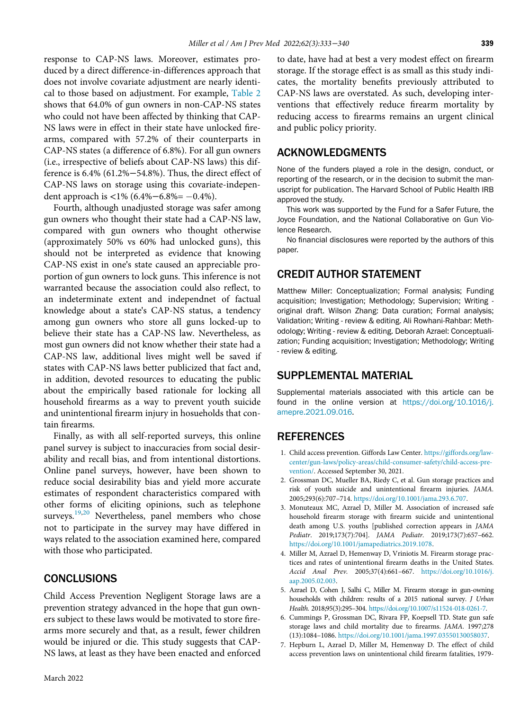response to CAP-NS laws. Moreover, estimates produced by a direct difference-in-differences approach that does not involve covariate adjustment are nearly identical to those based on adjustment. For example, [Table 2](#page-5-0) shows that 64.0% of gun owners in non-CAP-NS states who could not have been affected by thinking that CAP-NS laws were in effect in their state have unlocked firearms, compared with 57.2% of their counterparts in CAP-NS states (a difference of 6.8%). For all gun owners (i.e., irrespective of beliefs about CAP-NS laws) this difference is 6.4% (61.2%−54.8%). Thus, the direct effect of CAP-NS laws on storage using this covariate-independent approach is <1%  $(6.4% - 6.8% = -0.4%).$ 

Fourth, although unadjusted storage was safer among gun owners who thought their state had a CAP-NS law, compared with gun owners who thought otherwise (approximately 50% vs 60% had unlocked guns), this should not be interpreted as evidence that knowing CAP-NS exist in one's state caused an appreciable proportion of gun owners to lock guns. This inference is not warranted because the association could also reflect, to an indeterminate extent and independnet of factual knowledge about a state's CAP-NS status, a tendency among gun owners who store all guns locked-up to believe their state has a CAP-NS law. Nevertheless, as most gun owners did not know whether their state had a CAP-NS law, additional lives might well be saved if states with CAP-NS laws better publicized that fact and, in addition, devoted resources to educating the public about the empirically based rationale for locking all household firearms as a way to prevent youth suicide and unintentional firearm injury in hosueholds that contain firearms.

<span id="page-6-2"></span><span id="page-6-1"></span><span id="page-6-0"></span>Finally, as with all self-reported surveys, this online panel survey is subject to inaccuracies from social desirability and recall bias, and from intentional distortions. Online panel surveys, however, have been shown to reduce social desirability bias and yield more accurate estimates of respondent characteristics compared with other forms of eliciting opinions, such as telephone surveys.<sup>[19](#page-7-8)[,20](#page-7-9)</sup> Nevertheless, panel members who chose not to participate in the survey may have differed in ways related to the association examined here, compared with those who participated.

# **CONCLUSIONS**

<span id="page-6-5"></span><span id="page-6-4"></span><span id="page-6-3"></span>Child Access Prevention Negligent Storage laws are a prevention strategy advanced in the hope that gun owners subject to these laws would be motivated to store firearms more securely and that, as a result, fewer children would be injured or die. This study suggests that CAP-NS laws, at least as they have been enacted and enforced to date, have had at best a very modest effect on firearm storage. If the storage effect is as small as this study indicates, the mortality benefits previously attributed to CAP-NS laws are overstated. As such, developing interventions that effectively reduce firearm mortality by reducing access to firearms remains an urgent clinical and public policy priority.

# ACKNOWLEDGMENTS

None of the funders played a role in the design, conduct, or reporting of the research, or in the decision to submit the manuscript for publication. The Harvard School of Public Health IRB approved the study.

This work was supported by the Fund for a Safer Future, the Joyce Foundation, and the National Collaborative on Gun Violence Research.

No financial disclosures were reported by the authors of this paper.

# CREDIT AUTHOR STATEMENT

Matthew Miller: Conceptualization; Formal analysis; Funding acquisition; Investigation; Methodology; Supervision; Writing original draft. Wilson Zhang: Data curation; Formal analysis; Validation; Writing - review & editing. Ali Rowhani-Rahbar: Methodology; Writing - review & editing. Deborah Azrael: Conceptualization; Funding acquisition; Investigation; Methodology; Writing - review & editing.

# SUPPLEMENTAL MATERIAL

Supplemental materials associated with this article can be found in the online version at [https://doi.org/10.1016/j.](https://doi.org/10.1016/j.amepre.2021.09.016) [amepre.2021.09.016.](https://doi.org/10.1016/j.amepre.2021.09.016)

# REFERENCES

- 1. Child access prevention. Giffords Law Center. [https://giffords.org/law](https://giffords.org/lawcenter/gun-laws/policy-areas/child-consumer-safety/child-access-prevention/)[center/gun-laws/policy-areas/child-consumer-safety/child-access-pre](https://giffords.org/lawcenter/gun-laws/policy-areas/child-consumer-safety/child-access-prevention/)[vention/.](https://giffords.org/lawcenter/gun-laws/policy-areas/child-consumer-safety/child-access-prevention/) Accessed September 30, 2021.
- 2. Grossman DC, Mueller BA, Riedy C, et al. Gun storage practices and risk of youth suicide and unintentional firearm injuries. JAMA. 2005;293(6):707–714. [https://doi.org/10.1001/jama.293.6.707.](https://doi.org/10.1001/jama.293.6.707)
- 3. Monuteaux MC, Azrael D, Miller M. Association of increased safe household firearm storage with firearm suicide and unintentional death among U.S. youths [published correction appears in JAMA Pediatr. 2019;173(7):704]. JAMA Pediatr. 2019;173(7):657–662. [https://doi.org/10.1001/jamapediatrics.2019.1078.](https://doi.org/10.1001/jamapediatrics.2019.1078)
- 4. Miller M, Azrael D, Hemenway D, Vriniotis M. Firearm storage practices and rates of unintentional firearm deaths in the United States. Accid Anal Prev. 2005;37(4):661–667. [https://doi.org/10.1016/j.](https://doi.org/10.1016/j.aap.2005.02.003) [aap.2005.02.003.](https://doi.org/10.1016/j.aap.2005.02.003)
- 5. Azrael D, Cohen J, Salhi C, Miller M. Firearm storage in gun-owning households with children: results of a 2015 national survey. J Urban Health. 2018;95(3):295–304. [https://doi.org/10.1007/s11524-018-0261-7.](https://doi.org/10.1007/s11524-018-0261-7)
- 6. Cummings P, Grossman DC, Rivara FP, Koepsell TD. State gun safe storage laws and child mortality due to firearms. JAMA. 1997;278 (13):1084–1086. [https://doi.org/10.1001/jama.1997.03550130058037.](https://doi.org/10.1001/jama.1997.03550130058037)
- 7. Hepburn L, Azrael D, Miller M, Hemenway D. The effect of child access prevention laws on unintentional child firearm fatalities, 1979-